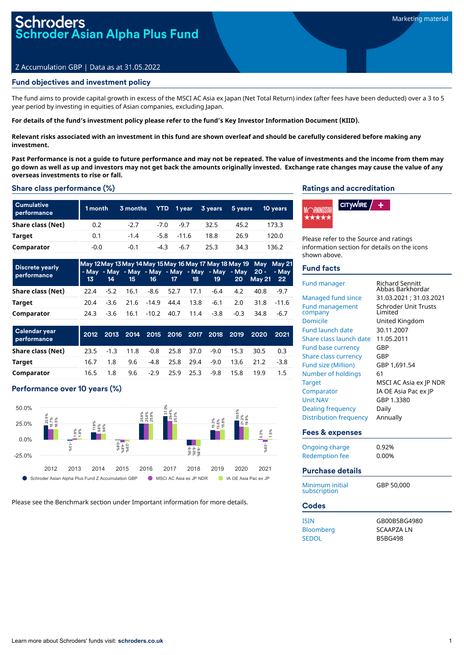# oder Asian Alpha Plus Fund

# Z Accumulation GBP | Data as at 31.05.2022

# Fund objectives and investment policy

The fund aims to provide capital growth in excess of the MSCI AC Asia ex Japan (Net Total Return) index (after fees have been deducted) over a 3 to 5 year period by investing in equities of Asian companies, excluding Japan.

#### For details of the fund's investment policy please refer to the fund's Key Investor Information Document (KIID).

Relevant risks associated with an investment in this fund are shown overleaf and should be carefully considered before making any **investment.**

Past Performance is not a quide to future performance and may not be repeated. The value of investments and the income from them may go down as well as up and investors may not get back the amounts originally invested. Exchange rate changes may cause the value of any **overseas investments to rise or fall.**

#### Share class performance (%)

| <b>Cumulative</b><br>performance | 1 month | 3 months |        |                | YTD 1year 3 years | 5 years | <b>10 years</b> |
|----------------------------------|---------|----------|--------|----------------|-------------------|---------|-----------------|
| Share class (Net)                | 0.2     | $-2.7$   | $-7.0$ | $-9.7$         | 32.5              | 45.2    | 173.3           |
| Target                           | 0.1     | $-1.4$   |        | $-5.8$ $-11.6$ | 18.8              | 26.9    | 120.0           |
| Comparator                       | -0.0    | $-0.1$   | -4.3   | $-6.7$         | 25.3              | 34.3    | 136.2           |

| <b>Discrete yearly</b><br>performance | -13 - | 14     | 15                       |       |                |      | 16 17 18 19 |        | May 12 May 13 May 14 May 15 May 16 May 17 May 18 May 19 May May 21<br>- May - May - May - May - May - May - May - May 20 - - May<br>20 May 21 22 |         |
|---------------------------------------|-------|--------|--------------------------|-------|----------------|------|-------------|--------|--------------------------------------------------------------------------------------------------------------------------------------------------|---------|
| Share class (Net)                     | 22.4  | $-5.2$ | 16.1                     |       | -8.6 52.7 17.1 |      | -6.4        | 4.2    | 40.8                                                                                                                                             | $-9.7$  |
| Target                                | 20.4  |        | $-3.6$ 21.6 $-14.9$ 44.4 |       |                | 13.8 | -6.1        | 2.0    | 31.8                                                                                                                                             | $-11.6$ |
| Comparator                            | 24.3  | -3.6   | 16.1                     | -10.2 | 40.7           | 11.4 | $-3.8$      | $-0.3$ | 34.8                                                                                                                                             | $-6.7$  |

| Calendar year<br>performance |      |              |      |                  |        | 2012 2013 2014 2015 2016 2017 2018 2019 | 2020 | 2021 |
|------------------------------|------|--------------|------|------------------|--------|-----------------------------------------|------|------|
| Share class (Net)            |      | $23.5 - 1.3$ | 11.8 | $-0.8$ 25.8 37.0 | $-9.0$ | 15.3                                    | 30.5 | 0.3  |
| Target                       | 16.7 | 18           | 9.6  | -4.8 25.8 29.4   | $-9.0$ | 13.6                                    | 21.2 | -38  |
| Comparator                   | 16.5 | 1.8          | 9.6  | $-2.9$ 25.9 25.3 | -9.8   | 15.8                                    | 19.9 | 15   |

# Performance over 10 years (%)



Please see the Benchmark section under Important information for more details.

#### Ratings and accreditation



Please refer to the Source and ratings information section for details on the icons shown above.

#### Fund facts

| Fund manager                      | <b>Richard Sennitt</b><br>Abbas Barkhordar |
|-----------------------------------|--------------------------------------------|
| Managed fund since                | 31.03.2021 : 31.03.2021                    |
| <b>Fund management</b><br>company | <b>Schroder Unit Trusts</b><br>Limited     |
| Domicile                          | United Kingdom                             |
| <b>Fund launch date</b>           | 30.11.2007                                 |
| Share class launch date           | 11.05.2011                                 |
| <b>Fund base currency</b>         | GBP                                        |
| Share class currency              | GBP                                        |
| <b>Fund size (Million)</b>        | GBP 1,691.54                               |
| Number of holdings                | 61                                         |
| <b>Target</b>                     | MSCI AC Asia ex JP NDR                     |
| Comparator                        | IA OE Asia Pac ex JP                       |
| <b>Unit NAV</b>                   | GBP 1.3380                                 |
| Dealing frequency                 | Daily                                      |
| <b>Distribution frequency</b>     | Annually                                   |
| Fees & expenses                   |                                            |
| <b>Ongoing charge</b>             | 0.92%                                      |
| <b>Redemption fee</b>             | 0.00%                                      |
| <b>Purchase details</b>           |                                            |
|                                   |                                            |
| Minimum initial<br>subscription   | GBP 50.000                                 |
| <b>Codes</b>                      |                                            |
| <b>ISIN</b>                       | GB00B5BG4980                               |
| Bloomberg                         | <b>SCAAPZA LN</b>                          |
| <b>SEDOL</b>                      | <b>B5BG498</b>                             |
|                                   |                                            |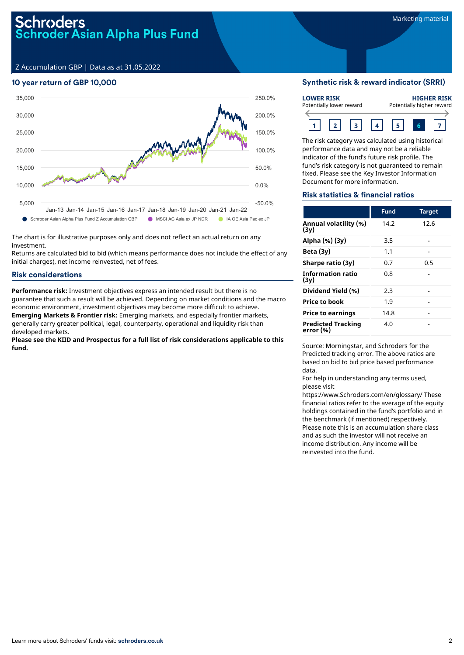Z Accumulation GBP | Data as at 31.05.2022

# 10 year return of GBP 10,000



The chart is for illustrative purposes only and does not reflect an actual return on any investment.

Returns are calculated bid to bid (which means performance does not include the effect of any initial charges), net income reinvested, net of fees.

# Risk considerations

**Performance risk:** Investment objectives express an intended result but there is no guarantee that such a result will be achieved. Depending on market conditions and the macro economic environment, investment objectives may become more difficult to achieve. **Emerging Markets & Frontier risk:** Emerging markets, and especially frontier markets, generally carry greater political, legal, counterparty, operational and liquidity risk than developed markets.

**Please see the KIID and Prospectus for a full list of risk considerations applicable to this fund.**

#### Synthetic risk & reward indicator (SRRI)

| <b>LOWER RISK</b><br>Potentially lower reward |  |  |  | <b>HIGHER RISK</b><br>Potentially higher reward |  |  |  |
|-----------------------------------------------|--|--|--|-------------------------------------------------|--|--|--|
|                                               |  |  |  |                                                 |  |  |  |

The risk category was calculated using historical performance data and may not be a reliable indicator of the fund's future risk profile. The fund's risk category is not guaranteed to remain fixed. Please see the Key Investor Information Document for more information.

## Risk statistics & financial ratios

|                                        | <b>Fund</b> | <b>Target</b> |
|----------------------------------------|-------------|---------------|
| Annual volatility (%)<br>(3y)          | 14.2        | 12.6          |
| Alpha (%) (3y)                         | 3.5         |               |
| Beta $(3y)$                            | 1.1         |               |
| Sharpe ratio (3y)                      | 0.7         | 0.5           |
| <b>Information ratio</b><br>(3v)       | 0.8         |               |
| Dividend Yield (%)                     | 2.3         |               |
| <b>Price to book</b>                   | 1.9         |               |
| <b>Price to earnings</b>               | 14.8        |               |
| <b>Predicted Tracking</b><br>error (%) | 4.0         |               |

Source: Morningstar, and Schroders for the Predicted tracking error. The above ratios are based on bid to bid price based performance data.

For help in understanding any terms used, please visit

https://www.Schroders.com/en/glossary/ These financial ratios refer to the average of the equity holdings contained in the fund's portfolio and in the benchmark (if mentioned) respectively. Please note this is an accumulation share class and as such the investor will not receive an income distribution. Any income will be reinvested into the fund.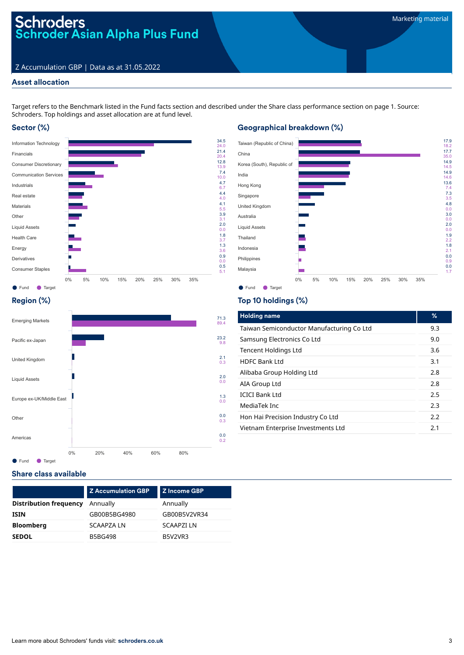# Schroders<br>Schroder Asian Alpha Plus Fund

# Z Accumulation GBP | Data as at 31.05.2022

# Asset allocation

Target refers to the Benchmark listed in the Fund facts section and described under the Share class performance section on page 1. Source: Schroders. Top holdings and asset allocation are at fund level.

# Sector (%)



# Geographical breakdown (%)



# Region (%)



# Top 10 holdings (%)

| <b>Holding name</b>                       | %   |
|-------------------------------------------|-----|
| Taiwan Semiconductor Manufacturing Co Ltd | 9.3 |
| Samsung Electronics Co Ltd                | 9.0 |
| Tencent Holdings Ltd                      | 3.6 |
| HDFC Bank Ltd                             | 3.1 |
| Alibaba Group Holding Ltd                 | 2.8 |
| AIA Group Ltd                             | 2.8 |
| <b>ICICI Bank Ltd</b>                     | 2.5 |
| MediaTek Inc                              | 2.3 |
| Hon Hai Precision Industry Co Ltd         | 2.2 |
| Vietnam Enterprise Investments Ltd        | 2.1 |

# Share class available

|                               | <b>Z Accumulation GBP</b> | Z Income GBP      |  |  |
|-------------------------------|---------------------------|-------------------|--|--|
| <b>Distribution frequency</b> | Annually                  | Annually          |  |  |
| <b>ISIN</b>                   | GB00B5BG4980              | GB00B5V2VR34      |  |  |
| <b>Bloomberg</b>              | <b>SCAAPZA LN</b>         | <b>SCAAPZI LN</b> |  |  |
| <b>SEDOL</b>                  | <b>B5BG498</b>            | <b>B5V2VR3</b>    |  |  |